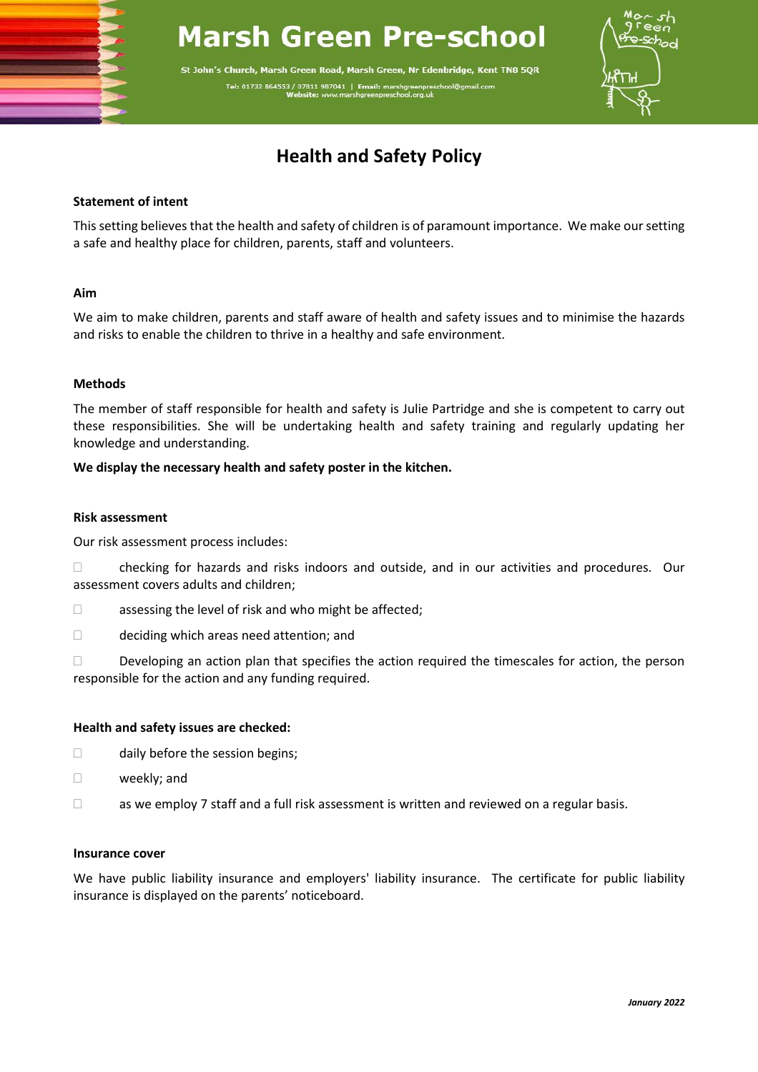# **Marsh Green Pre-school**

St John's Church, Marsh Green Road, Marsh Green, Nr Edenbridge, Kent TN8 5QR Tel: 01732 864553 / 07811 987041 | Ema



# **Health and Safety Policy**

# **Statement of intent**

This setting believes that the health and safety of children is of paramount importance. We make our setting a safe and healthy place for children, parents, staff and volunteers.

# **Aim**

We aim to make children, parents and staff aware of health and safety issues and to minimise the hazards and risks to enable the children to thrive in a healthy and safe environment.

# **Methods**

The member of staff responsible for health and safety is Julie Partridge and she is competent to carry out these responsibilities. She will be undertaking health and safety training and regularly updating her knowledge and understanding.

# **We display the necessary health and safety poster in the kitchen.**

#### **Risk assessment**

Our risk assessment process includes:

 $\Box$  checking for hazards and risks indoors and outside, and in our activities and procedures. Our assessment covers adults and children;

- $\Box$  assessing the level of risk and who might be affected;
- □ deciding which areas need attention; and

 $\Box$  Developing an action plan that specifies the action required the timescales for action, the person responsible for the action and any funding required.

#### **Health and safety issues are checked:**

- $\Box$  daily before the session begins;
- weekly; and
- $\Box$  as we employ 7 staff and a full risk assessment is written and reviewed on a regular basis.

#### **Insurance cover**

We have public liability insurance and employers' liability insurance. The certificate for public liability insurance is displayed on the parents' noticeboard.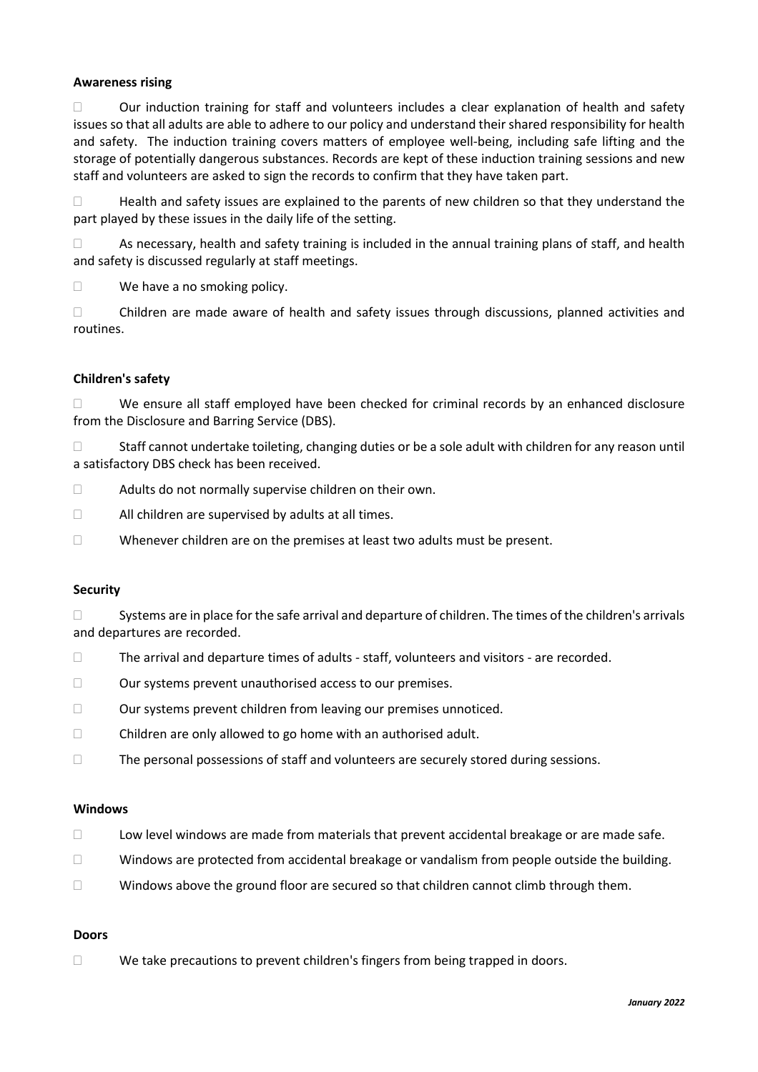# **Awareness rising**

 $\Box$  Our induction training for staff and volunteers includes a clear explanation of health and safety issues so that all adults are able to adhere to our policy and understand their shared responsibility for health and safety. The induction training covers matters of employee well-being, including safe lifting and the storage of potentially dangerous substances. Records are kept of these induction training sessions and new staff and volunteers are asked to sign the records to confirm that they have taken part.

□ Health and safety issues are explained to the parents of new children so that they understand the part played by these issues in the daily life of the setting.

 $\Box$  As necessary, health and safety training is included in the annual training plans of staff, and health and safety is discussed regularly at staff meetings.

 $\Box$  We have a no smoking policy.

 Children are made aware of health and safety issues through discussions, planned activities and routines.

# **Children's safety**

 $\Box$  We ensure all staff employed have been checked for criminal records by an enhanced disclosure from the Disclosure and Barring Service (DBS).

 $\Box$  Staff cannot undertake toileting, changing duties or be a sole adult with children for any reason until a satisfactory DBS check has been received.

- □ Adults do not normally supervise children on their own.
- $\Box$  All children are supervised by adults at all times.
- $\Box$  Whenever children are on the premises at least two adults must be present.

#### **Security**

 $\square$  Systems are in place for the safe arrival and departure of children. The times of the children's arrivals and departures are recorded.

- $\Box$  The arrival and departure times of adults staff, volunteers and visitors are recorded.
- Our systems prevent unauthorised access to our premises.
- Our systems prevent children from leaving our premises unnoticed.
- $\Box$  Children are only allowed to go home with an authorised adult.
- $\Box$  The personal possessions of staff and volunteers are securely stored during sessions.

#### **Windows**

- □ Low level windows are made from materials that prevent accidental breakage or are made safe.
- $\Box$  Windows are protected from accidental breakage or vandalism from people outside the building.
- $\Box$  Windows above the ground floor are secured so that children cannot climb through them.

#### **Doors**

We take precautions to prevent children's fingers from being trapped in doors.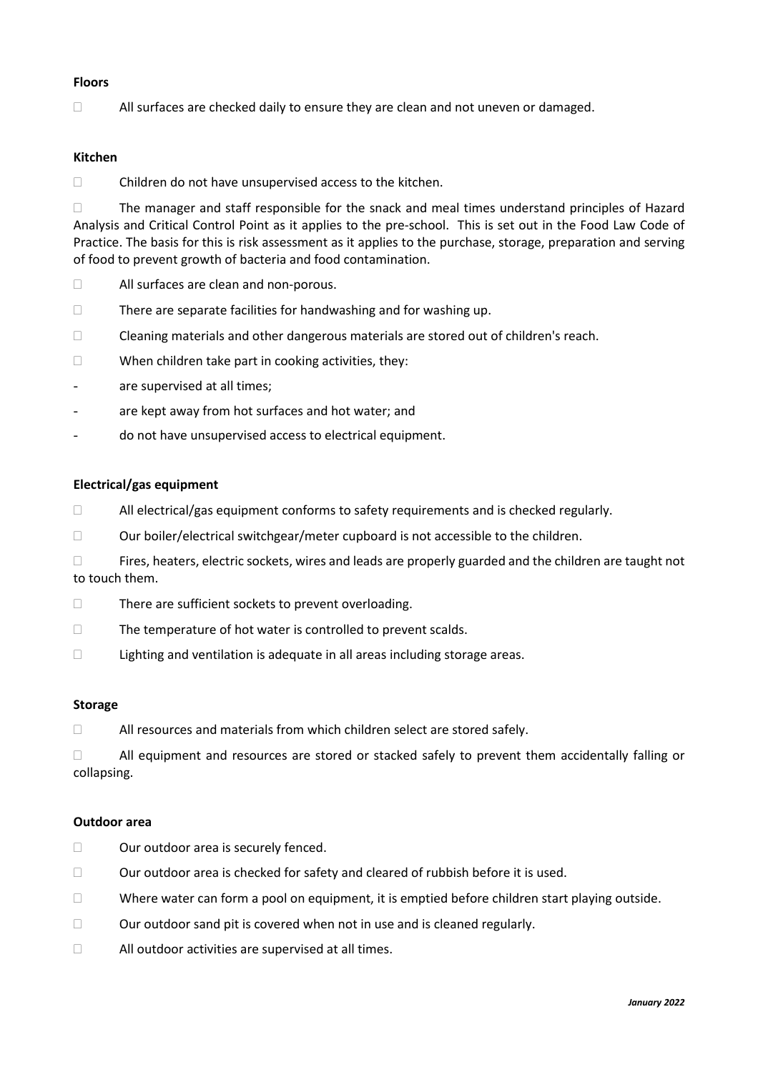# **Floors**

 $\Box$  All surfaces are checked daily to ensure they are clean and not uneven or damaged.

# **Kitchen**

 $\Box$  Children do not have unsupervised access to the kitchen.

 The manager and staff responsible for the snack and meal times understand principles of Hazard Analysis and Critical Control Point as it applies to the pre-school. This is set out in the Food Law Code of Practice. The basis for this is risk assessment as it applies to the purchase, storage, preparation and serving of food to prevent growth of bacteria and food contamination.

- All surfaces are clean and non-porous.
- $\Box$  There are separate facilities for handwashing and for washing up.
- $\Box$  Cleaning materials and other dangerous materials are stored out of children's reach.
- $\Box$  When children take part in cooking activities, they:
- are supervised at all times;
- are kept away from hot surfaces and hot water; and
- do not have unsupervised access to electrical equipment.

#### **Electrical/gas equipment**

- $\Box$  All electrical/gas equipment conforms to safety requirements and is checked regularly.
- $\Box$  Our boiler/electrical switchgear/meter cupboard is not accessible to the children.
- $\Box$  Fires, heaters, electric sockets, wires and leads are properly guarded and the children are taught not to touch them.
- $\Box$  There are sufficient sockets to prevent overloading.
- $\Box$  The temperature of hot water is controlled to prevent scalds.
- □ Lighting and ventilation is adequate in all areas including storage areas.

### **Storage**

 $\Box$  All resources and materials from which children select are stored safely.

 $\Box$  All equipment and resources are stored or stacked safely to prevent them accidentally falling or collapsing.

#### **Outdoor area**

- □ Our outdoor area is securely fenced.
- $\Box$  Our outdoor area is checked for safety and cleared of rubbish before it is used.
- $\Box$  Where water can form a pool on equipment, it is emptied before children start playing outside.
- $\Box$  Our outdoor sand pit is covered when not in use and is cleaned regularly.
- $\Box$  All outdoor activities are supervised at all times.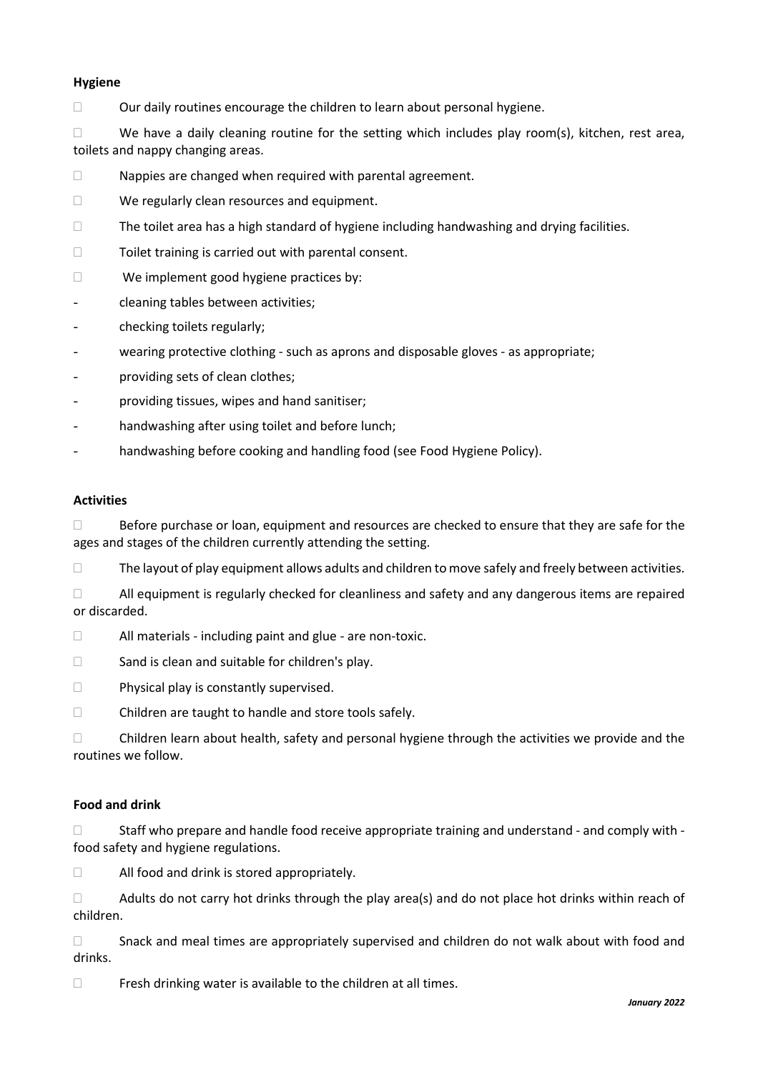# **Hygiene**

 $\Box$  Our daily routines encourage the children to learn about personal hygiene.

 $\Box$  We have a daily cleaning routine for the setting which includes play room(s), kitchen, rest area, toilets and nappy changing areas.

- $\Box$  Nappies are changed when required with parental agreement.
- □ We regularly clean resources and equipment.
- $\Box$  The toilet area has a high standard of hygiene including handwashing and drying facilities.
- $\Box$  Toilet training is carried out with parental consent.
- □ We implement good hygiene practices by:
- cleaning tables between activities;
- checking toilets regularly;
- wearing protective clothing such as aprons and disposable gloves as appropriate;
- providing sets of clean clothes;
- providing tissues, wipes and hand sanitiser;
- handwashing after using toilet and before lunch;
- handwashing before cooking and handling food (see Food Hygiene Policy).

# **Activities**

 $\Box$  Before purchase or loan, equipment and resources are checked to ensure that they are safe for the ages and stages of the children currently attending the setting.

 $\Box$  The layout of play equipment allows adults and children to move safely and freely between activities.

 $\Box$  All equipment is regularly checked for cleanliness and safety and any dangerous items are repaired or discarded.

 $\Box$  All materials - including paint and glue - are non-toxic.

- $\Box$  Sand is clean and suitable for children's play.
- $\Box$  Physical play is constantly supervised.
- □ Children are taught to handle and store tools safely.

□ Children learn about health, safety and personal hygiene through the activities we provide and the routines we follow.

# **Food and drink**

 $\square$  Staff who prepare and handle food receive appropriate training and understand - and comply with food safety and hygiene regulations.

□ All food and drink is stored appropriately.

 $\Box$  Adults do not carry hot drinks through the play area(s) and do not place hot drinks within reach of children.

 $\Box$  Snack and meal times are appropriately supervised and children do not walk about with food and drinks.

 $\Box$  Fresh drinking water is available to the children at all times.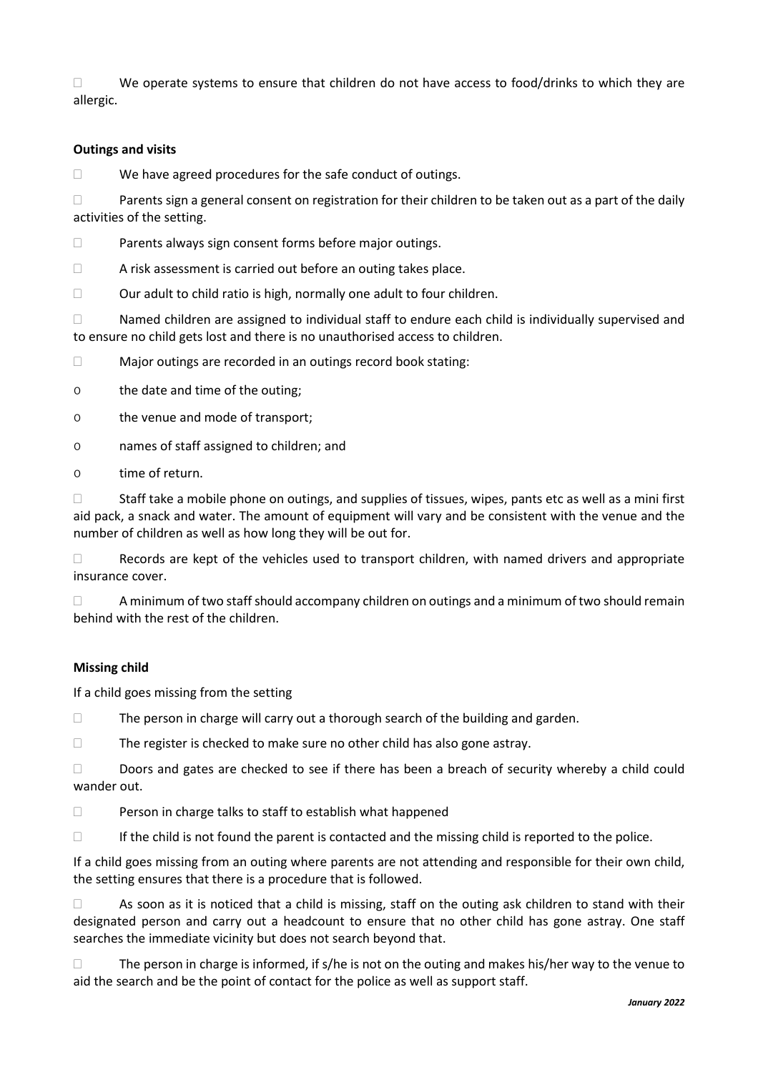$\Box$  We operate systems to ensure that children do not have access to food/drinks to which they are allergic.

# **Outings and visits**

 $\Box$  We have agreed procedures for the safe conduct of outings.

 $\Box$  Parents sign a general consent on registration for their children to be taken out as a part of the daily activities of the setting.

□ Parents always sign consent forms before major outings.

 $\Box$  A risk assessment is carried out before an outing takes place.

 $\Box$  Our adult to child ratio is high, normally one adult to four children.

 $\Box$  Named children are assigned to individual staff to endure each child is individually supervised and to ensure no child gets lost and there is no unauthorised access to children.

□ Major outings are recorded in an outings record book stating:

o the date and time of the outing;

o the venue and mode of transport;

o names of staff assigned to children; and

o time of return.

 $\Box$  Staff take a mobile phone on outings, and supplies of tissues, wipes, pants etc as well as a mini first aid pack, a snack and water. The amount of equipment will vary and be consistent with the venue and the number of children as well as how long they will be out for.

 $\Box$  Records are kept of the vehicles used to transport children, with named drivers and appropriate insurance cover.

 $\Box$  A minimum of two staff should accompany children on outings and a minimum of two should remain behind with the rest of the children.

#### **Missing child**

If a child goes missing from the setting

 $\Box$  The person in charge will carry out a thorough search of the building and garden.

The register is checked to make sure no other child has also gone astray.

Doors and gates are checked to see if there has been a breach of security whereby a child could wander out.

 $\square$  Person in charge talks to staff to establish what happened

 $\Box$  If the child is not found the parent is contacted and the missing child is reported to the police.

If a child goes missing from an outing where parents are not attending and responsible for their own child, the setting ensures that there is a procedure that is followed.

 $\Box$  As soon as it is noticed that a child is missing, staff on the outing ask children to stand with their designated person and carry out a headcount to ensure that no other child has gone astray. One staff searches the immediate vicinity but does not search beyond that.

 $\Box$  The person in charge is informed, if s/he is not on the outing and makes his/her way to the venue to aid the search and be the point of contact for the police as well as support staff.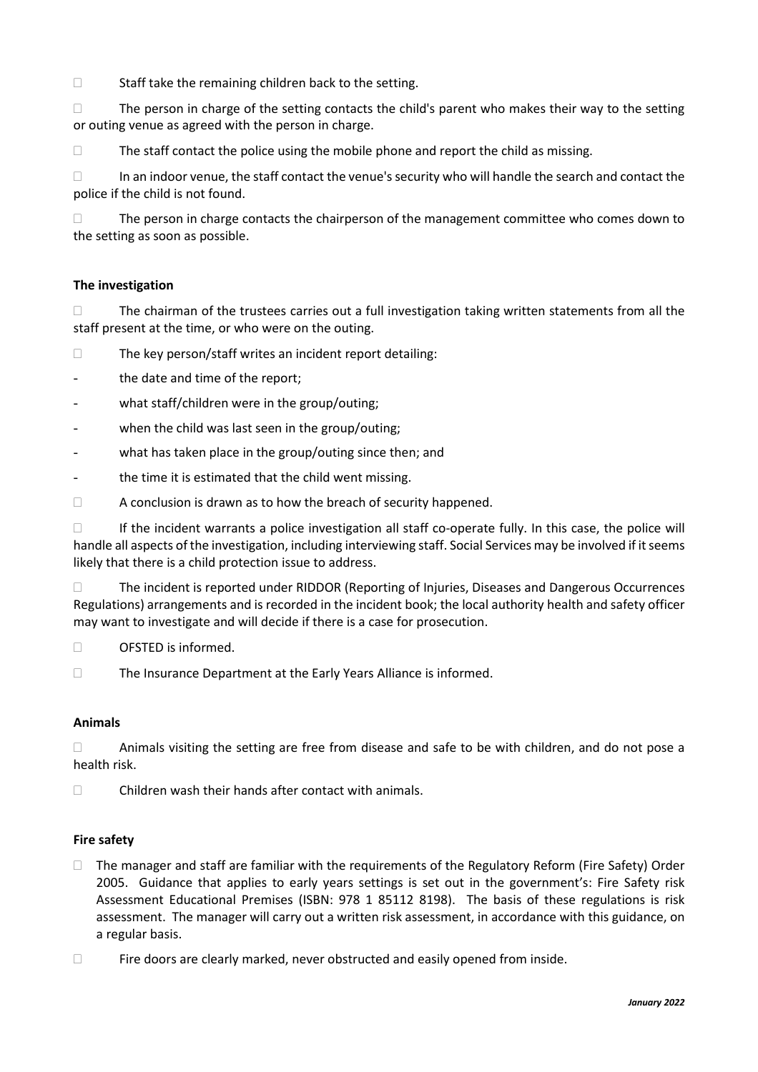$\Box$  Staff take the remaining children back to the setting.

 $\Box$  The person in charge of the setting contacts the child's parent who makes their way to the setting or outing venue as agreed with the person in charge.

 $\Box$  The staff contact the police using the mobile phone and report the child as missing.

 $\Box$  In an indoor venue, the staff contact the venue's security who will handle the search and contact the police if the child is not found.

 $\Box$  The person in charge contacts the chairperson of the management committee who comes down to the setting as soon as possible.

# **The investigation**

 $\Box$  The chairman of the trustees carries out a full investigation taking written statements from all the staff present at the time, or who were on the outing.

 $\square$  The key person/staff writes an incident report detailing:

the date and time of the report;

- what staff/children were in the group/outing;
- when the child was last seen in the group/outing;
- what has taken place in the group/outing since then; and
- the time it is estimated that the child went missing.

 $\Box$  A conclusion is drawn as to how the breach of security happened.

 $\Box$  If the incident warrants a police investigation all staff co-operate fully. In this case, the police will handle all aspects of the investigation, including interviewing staff. Social Services may be involved if it seems likely that there is a child protection issue to address.

 The incident is reported under RIDDOR (Reporting of Injuries, Diseases and Dangerous Occurrences Regulations) arrangements and is recorded in the incident book; the local authority health and safety officer may want to investigate and will decide if there is a case for prosecution.

- OFSTED is informed.
- The Insurance Department at the Early Years Alliance is informed.

# **Animals**

 $\Box$  Animals visiting the setting are free from disease and safe to be with children, and do not pose a health risk.

 $\square$  Children wash their hands after contact with animals.

# **Fire safety**

- $\Box$  The manager and staff are familiar with the requirements of the Regulatory Reform (Fire Safety) Order 2005. Guidance that applies to early years settings is set out in the government's: Fire Safety risk Assessment Educational Premises (ISBN: 978 1 85112 8198). The basis of these regulations is risk assessment. The manager will carry out a written risk assessment, in accordance with this guidance, on a regular basis.
- $\Box$  Fire doors are clearly marked, never obstructed and easily opened from inside.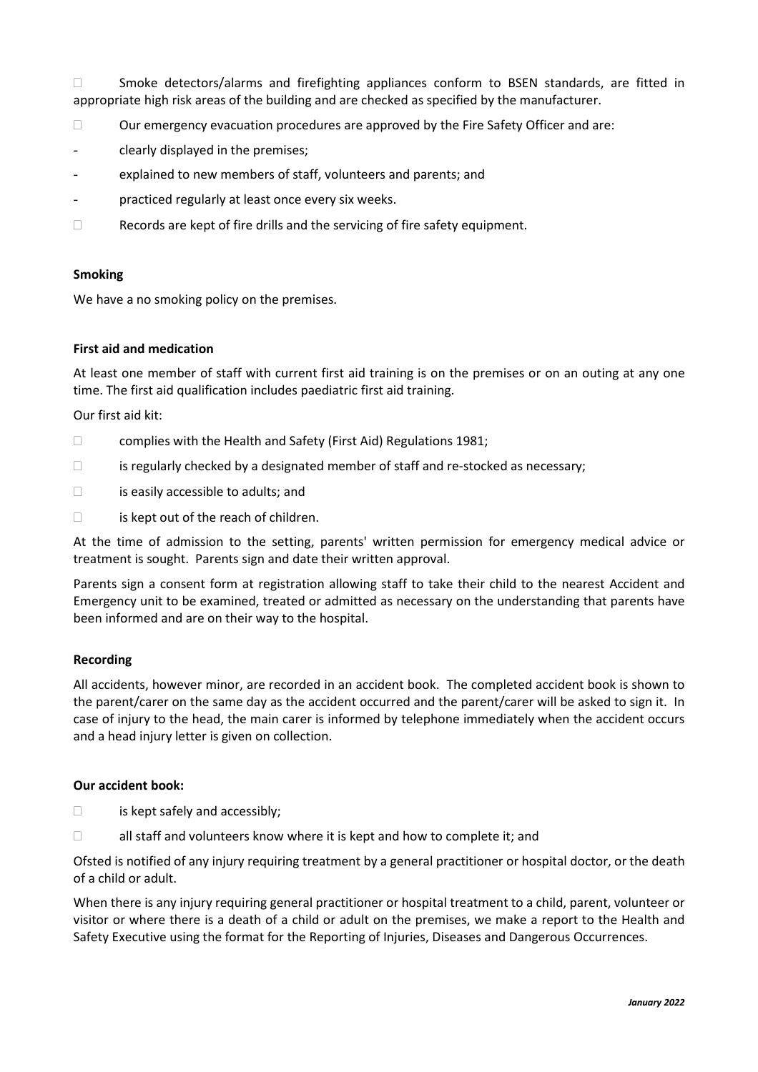□ Smoke detectors/alarms and firefighting appliances conform to BSEN standards, are fitted in appropriate high risk areas of the building and are checked as specified by the manufacturer.

- $\Box$  Our emergency evacuation procedures are approved by the Fire Safety Officer and are:
- clearly displayed in the premises;
- explained to new members of staff, volunteers and parents; and
- practiced regularly at least once every six weeks.
- □ Records are kept of fire drills and the servicing of fire safety equipment.

# **Smoking**

We have a no smoking policy on the premises.

# **First aid and medication**

At least one member of staff with current first aid training is on the premises or on an outing at any one time. The first aid qualification includes paediatric first aid training.

Our first aid kit:

- $\Box$  complies with the Health and Safety (First Aid) Regulations 1981;
- $\Box$  is regularly checked by a designated member of staff and re-stocked as necessary;
- □ is easily accessible to adults; and
- $\Box$  is kept out of the reach of children.

At the time of admission to the setting, parents' written permission for emergency medical advice or treatment is sought. Parents sign and date their written approval.

Parents sign a consent form at registration allowing staff to take their child to the nearest Accident and Emergency unit to be examined, treated or admitted as necessary on the understanding that parents have been informed and are on their way to the hospital.

# **Recording**

All accidents, however minor, are recorded in an accident book. The completed accident book is shown to the parent/carer on the same day as the accident occurred and the parent/carer will be asked to sign it. In case of injury to the head, the main carer is informed by telephone immediately when the accident occurs and a head injury letter is given on collection.

#### **Our accident book:**

- $\Box$  is kept safely and accessibly;
- $\Box$  all staff and volunteers know where it is kept and how to complete it; and

Ofsted is notified of any injury requiring treatment by a general practitioner or hospital doctor, or the death of a child or adult.

When there is any injury requiring general practitioner or hospital treatment to a child, parent, volunteer or visitor or where there is a death of a child or adult on the premises, we make a report to the Health and Safety Executive using the format for the Reporting of Injuries, Diseases and Dangerous Occurrences.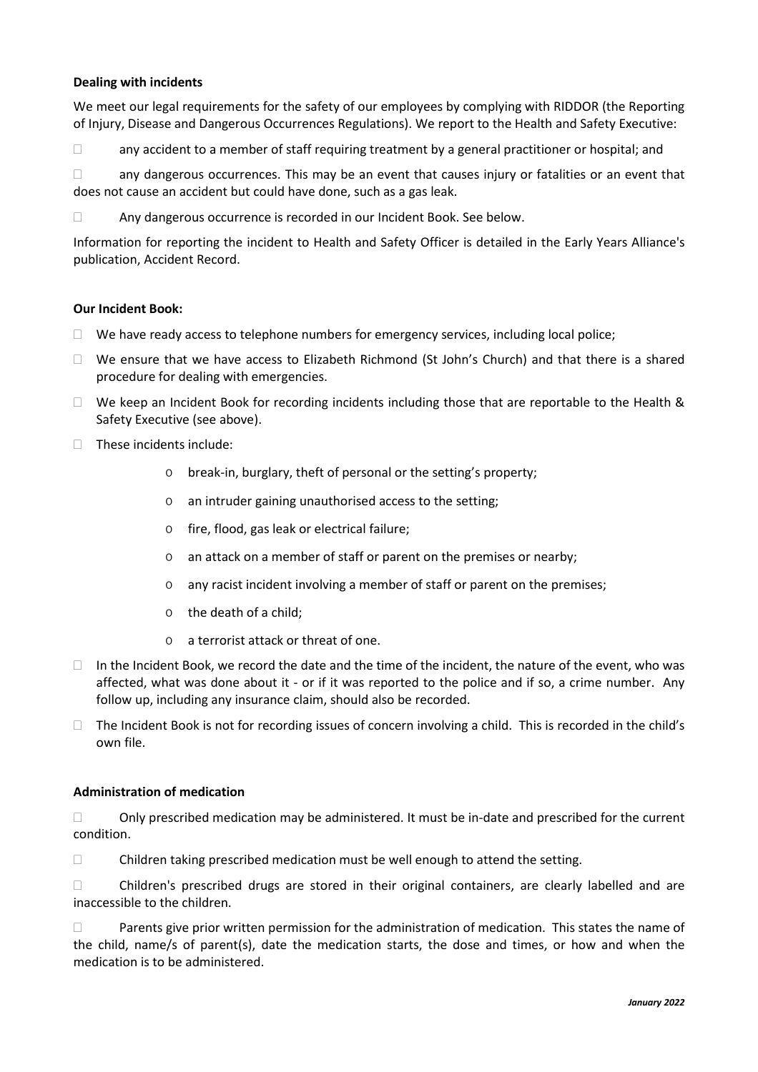# **Dealing with incidents**

We meet our legal requirements for the safety of our employees by complying with RIDDOR (the Reporting of Injury, Disease and Dangerous Occurrences Regulations). We report to the Health and Safety Executive:

 $\Box$  any accident to a member of staff requiring treatment by a general practitioner or hospital; and

 $\Box$  any dangerous occurrences. This may be an event that causes injury or fatalities or an event that does not cause an accident but could have done, such as a gas leak.

Any dangerous occurrence is recorded in our Incident Book. See below.

Information for reporting the incident to Health and Safety Officer is detailed in the Early Years Alliance's publication, Accident Record.

#### **Our Incident Book:**

- $\Box$  We have ready access to telephone numbers for emergency services, including local police;
- $\Box$  We ensure that we have access to Elizabeth Richmond (St John's Church) and that there is a shared procedure for dealing with emergencies.
- $\Box$  We keep an Incident Book for recording incidents including those that are reportable to the Health & Safety Executive (see above).
- $\Box$  These incidents include:
	- o break-in, burglary, theft of personal or the setting's property;
	- o an intruder gaining unauthorised access to the setting;
	- o fire, flood, gas leak or electrical failure;
	- o an attack on a member of staff or parent on the premises or nearby;
	- o any racist incident involving a member of staff or parent on the premises;
	- o the death of a child;
	- o a terrorist attack or threat of one.
- $\Box$  In the Incident Book, we record the date and the time of the incident, the nature of the event, who was affected, what was done about it - or if it was reported to the police and if so, a crime number. Any follow up, including any insurance claim, should also be recorded.
- $\Box$  The Incident Book is not for recording issues of concern involving a child. This is recorded in the child's own file.

#### **Administration of medication**

 $\Box$  Only prescribed medication may be administered. It must be in-date and prescribed for the current condition.

 $\Box$  Children taking prescribed medication must be well enough to attend the setting.

 Children's prescribed drugs are stored in their original containers, are clearly labelled and are inaccessible to the children.

**Parents give prior written permission for the administration of medication. This states the name of** the child, name/s of parent(s), date the medication starts, the dose and times, or how and when the medication is to be administered.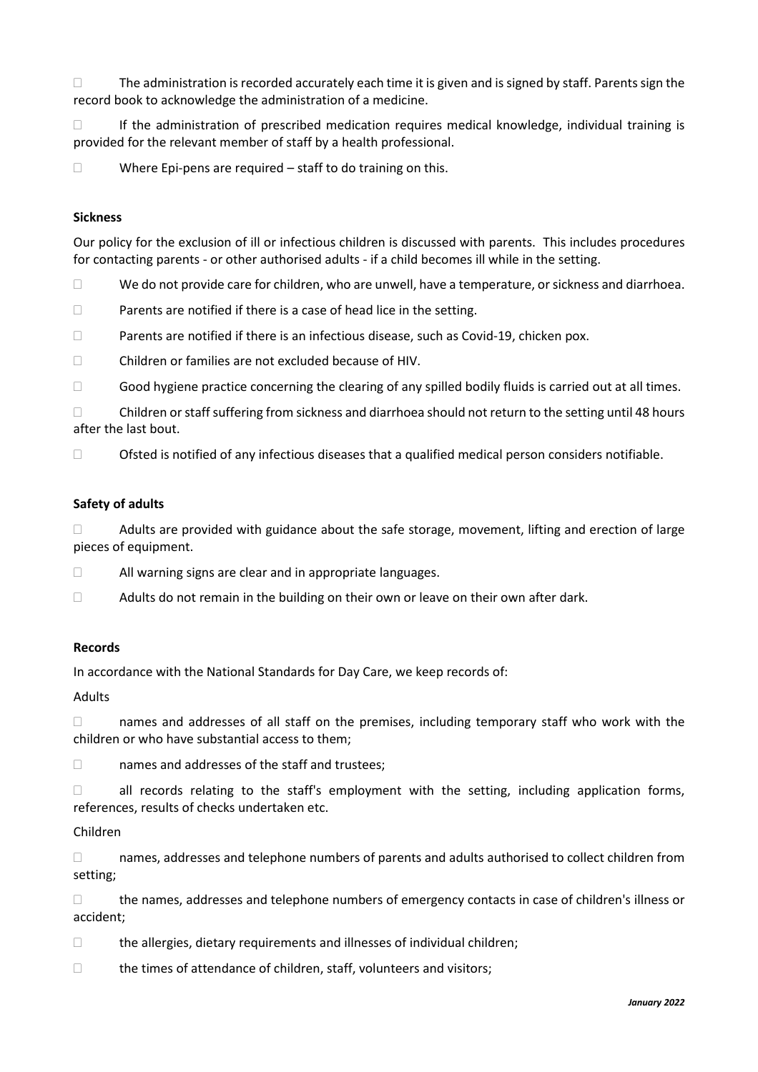$\Box$  The administration is recorded accurately each time it is given and is signed by staff. Parents sign the record book to acknowledge the administration of a medicine.

 $\Box$  If the administration of prescribed medication requires medical knowledge, individual training is provided for the relevant member of staff by a health professional.

 $\Box$  Where Epi-pens are required – staff to do training on this.

# **Sickness**

Our policy for the exclusion of ill or infectious children is discussed with parents. This includes procedures for contacting parents - or other authorised adults - if a child becomes ill while in the setting.

 $\Box$  We do not provide care for children, who are unwell, have a temperature, or sickness and diarrhoea.

- $\Box$  Parents are notified if there is a case of head lice in the setting.
- $\Box$  Parents are notified if there is an infectious disease, such as Covid-19, chicken pox.
- Children or families are not excluded because of HIV.
- $\Box$  Good hygiene practice concerning the clearing of any spilled bodily fluids is carried out at all times.

 $\Box$  Children or staff suffering from sickness and diarrhoea should not return to the setting until 48 hours after the last bout.

 $\Box$  Ofsted is notified of any infectious diseases that a qualified medical person considers notifiable.

#### **Safety of adults**

 $\Box$  Adults are provided with guidance about the safe storage, movement, lifting and erection of large pieces of equipment.

- All warning signs are clear and in appropriate languages.
- $\Box$  Adults do not remain in the building on their own or leave on their own after dark.

#### **Records**

In accordance with the National Standards for Day Care, we keep records of:

#### Adults

 $\Box$  names and addresses of all staff on the premises, including temporary staff who work with the children or who have substantial access to them;

□ names and addresses of the staff and trustees;

 $\Box$  all records relating to the staff's employment with the setting, including application forms, references, results of checks undertaken etc.

#### Children

 $\Box$  names, addresses and telephone numbers of parents and adults authorised to collect children from setting;

 $\Box$  the names, addresses and telephone numbers of emergency contacts in case of children's illness or accident;

- $\Box$  the allergies, dietary requirements and illnesses of individual children;
- $\Box$  the times of attendance of children, staff, volunteers and visitors;